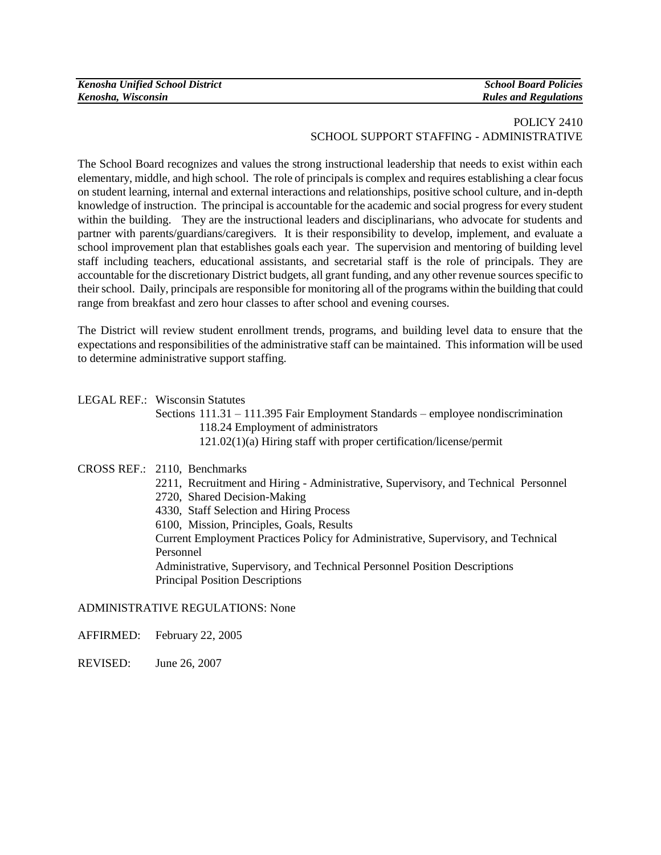| <b>Kenosha Unified School District</b> | <b>School Board Policies</b> |
|----------------------------------------|------------------------------|
| Kenosha, Wisconsin                     | <b>Rules and Regulations</b> |

## POLICY 2410 SCHOOL SUPPORT STAFFING - ADMINISTRATIVE

The School Board recognizes and values the strong instructional leadership that needs to exist within each elementary, middle, and high school. The role of principals is complex and requires establishing a clear focus on student learning, internal and external interactions and relationships, positive school culture, and in-depth knowledge of instruction. The principal is accountable for the academic and social progress for every student within the building. They are the instructional leaders and disciplinarians, who advocate for students and partner with parents/guardians/caregivers. It is their responsibility to develop, implement, and evaluate a school improvement plan that establishes goals each year. The supervision and mentoring of building level staff including teachers, educational assistants, and secretarial staff is the role of principals. They are accountable for the discretionary District budgets, all grant funding, and any other revenue sources specific to their school. Daily, principals are responsible for monitoring all of the programs within the building that could range from breakfast and zero hour classes to after school and evening courses.

The District will review student enrollment trends, programs, and building level data to ensure that the expectations and responsibilities of the administrative staff can be maintained. This information will be used to determine administrative support staffing.

LEGAL REF.: Wisconsin Statutes

Sections 111.31 – 111.395 Fair Employment Standards – employee nondiscrimination 118.24 Employment of administrators

121.02(1)(a) Hiring staff with proper certification/license/permit

## CROSS REF.: 2110, Benchmarks

- 2211, Recruitment and Hiring Administrative, Supervisory, and Technical Personnel
- 2720, Shared Decision-Making
- 4330, Staff Selection and Hiring Process
- 6100, Mission, Principles, Goals, Results

Current Employment Practices Policy for Administrative, Supervisory, and Technical Personnel

Administrative, Supervisory, and Technical Personnel Position Descriptions Principal Position Descriptions

## ADMINISTRATIVE REGULATIONS: None

AFFIRMED: February 22, 2005

REVISED: June 26, 2007